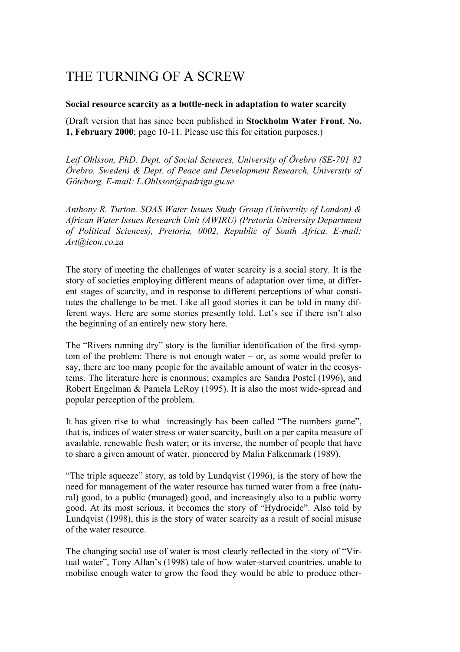# THE TURNING OF A SCREW

## **Social resource scarcity as a bottle-neck in adaptation to water scarcity**

(Draft version that has since been published in **Stockholm Water Front**, **No. 1, February 2000**; page 10-11. Please use this for citation purposes.)

*Leif Ohlsson, PhD. Dept. of Social Sciences, University of Örebro (SE-701 82 Örebro, Sweden) & Dept. of Peace and Development Research, University of Göteborg. E-mail: L.Ohlsson@padrigu.gu.se* 

*Anthony R. Turton, SOAS Water Issues Study Group (University of London) & African Water Issues Research Unit (AWIRU) (Pretoria University Department of Political Sciences), Pretoria, 0002, Republic of South Africa. E-mail: Art@icon.co.za* 

The story of meeting the challenges of water scarcity is a social story. It is the story of societies employing different means of adaptation over time, at different stages of scarcity, and in response to different perceptions of what constitutes the challenge to be met. Like all good stories it can be told in many different ways. Here are some stories presently told. Let's see if there isn't also the beginning of an entirely new story here.

The "Rivers running dry" story is the familiar identification of the first symptom of the problem: There is not enough water – or, as some would prefer to say, there are too many people for the available amount of water in the ecosystems. The literature here is enormous; examples are Sandra Postel (1996), and Robert Engelman & Pamela LeRoy (1995). It is also the most wide-spread and popular perception of the problem.

It has given rise to what increasingly has been called "The numbers game", that is, indices of water stress or water scarcity, built on a per capita measure of available, renewable fresh water; or its inverse, the number of people that have to share a given amount of water, pioneered by Malin Falkenmark (1989).

"The triple squeeze" story, as told by Lundqvist (1996), is the story of how the need for management of the water resource has turned water from a free (natural) good, to a public (managed) good, and increasingly also to a public worry good. At its most serious, it becomes the story of "Hydrocide". Also told by Lundqvist (1998), this is the story of water scarcity as a result of social misuse of the water resource.

The changing social use of water is most clearly reflected in the story of "Virtual water", Tony Allan's (1998) tale of how water-starved countries, unable to mobilise enough water to grow the food they would be able to produce other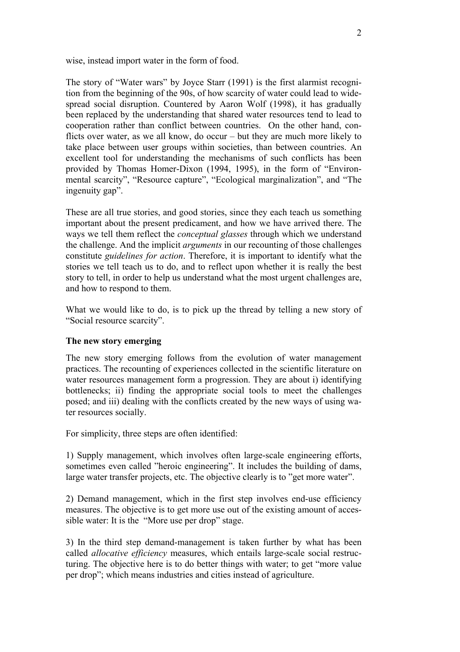wise, instead import water in the form of food.

The story of "Water wars" by Joyce Starr (1991) is the first alarmist recognition from the beginning of the 90s, of how scarcity of water could lead to widespread social disruption. Countered by Aaron Wolf (1998), it has gradually been replaced by the understanding that shared water resources tend to lead to cooperation rather than conflict between countries. On the other hand, conflicts over water, as we all know, do occur – but they are much more likely to take place between user groups within societies, than between countries. An excellent tool for understanding the mechanisms of such conflicts has been provided by Thomas Homer-Dixon (1994, 1995), in the form of "Environmental scarcity", "Resource capture", "Ecological marginalization", and "The ingenuity gap".

These are all true stories, and good stories, since they each teach us something important about the present predicament, and how we have arrived there. The ways we tell them reflect the *conceptual glasses* through which we understand the challenge. And the implicit *arguments* in our recounting of those challenges constitute *guidelines for action*. Therefore, it is important to identify what the stories we tell teach us to do, and to reflect upon whether it is really the best story to tell, in order to help us understand what the most urgent challenges are, and how to respond to them.

What we would like to do, is to pick up the thread by telling a new story of "Social resource scarcity".

## **The new story emerging**

The new story emerging follows from the evolution of water management practices. The recounting of experiences collected in the scientific literature on water resources management form a progression. They are about i) identifying bottlenecks; ii) finding the appropriate social tools to meet the challenges posed; and iii) dealing with the conflicts created by the new ways of using water resources socially.

For simplicity, three steps are often identified:

1) Supply management, which involves often large-scale engineering efforts, sometimes even called "heroic engineering". It includes the building of dams, large water transfer projects, etc. The objective clearly is to "get more water".

2) Demand management, which in the first step involves end-use efficiency measures. The objective is to get more use out of the existing amount of accessible water: It is the "More use per drop" stage.

3) In the third step demand-management is taken further by what has been called *allocative efficiency* measures, which entails large-scale social restructuring. The objective here is to do better things with water; to get "more value per drop"; which means industries and cities instead of agriculture.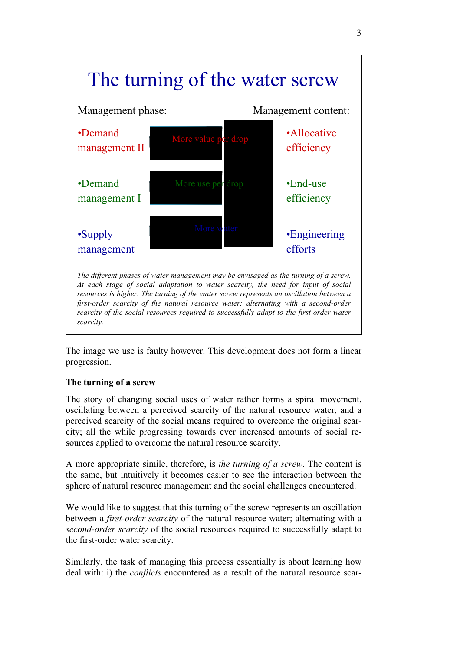

The image we use is faulty however. This development does not form a linear progression.

## **The turning of a screw**

The story of changing social uses of water rather forms a spiral movement, oscillating between a perceived scarcity of the natural resource water, and a perceived scarcity of the social means required to overcome the original scarcity; all the while progressing towards ever increased amounts of social resources applied to overcome the natural resource scarcity.

A more appropriate simile, therefore, is *the turning of a screw*. The content is the same, but intuitively it becomes easier to see the interaction between the sphere of natural resource management and the social challenges encountered.

We would like to suggest that this turning of the screw represents an oscillation between a *first-order scarcity* of the natural resource water; alternating with a *second-order scarcity* of the social resources required to successfully adapt to the first-order water scarcity.

Similarly, the task of managing this process essentially is about learning how deal with: i) the *conflicts* encountered as a result of the natural resource scar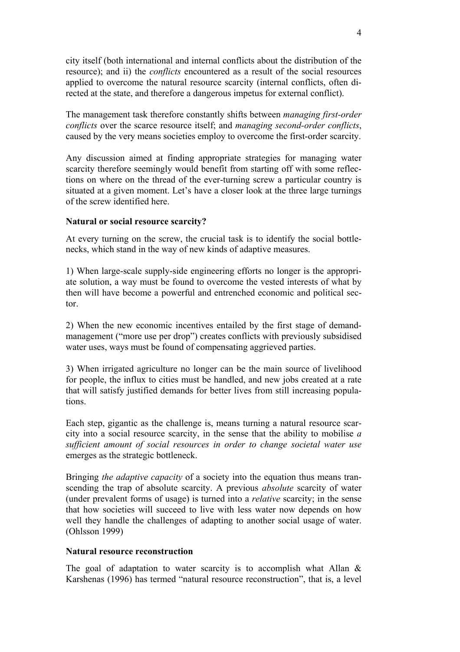city itself (both international and internal conflicts about the distribution of the resource); and ii) the *conflicts* encountered as a result of the social resources applied to overcome the natural resource scarcity (internal conflicts, often directed at the state, and therefore a dangerous impetus for external conflict).

The management task therefore constantly shifts between *managing first-order conflicts* over the scarce resource itself; and *managing second-order conflicts*, caused by the very means societies employ to overcome the first-order scarcity.

Any discussion aimed at finding appropriate strategies for managing water scarcity therefore seemingly would benefit from starting off with some reflections on where on the thread of the ever-turning screw a particular country is situated at a given moment. Let's have a closer look at the three large turnings of the screw identified here.

## **Natural or social resource scarcity?**

At every turning on the screw, the crucial task is to identify the social bottlenecks, which stand in the way of new kinds of adaptive measures.

1) When large-scale supply-side engineering efforts no longer is the appropriate solution, a way must be found to overcome the vested interests of what by then will have become a powerful and entrenched economic and political sector.

2) When the new economic incentives entailed by the first stage of demandmanagement ("more use per drop") creates conflicts with previously subsidised water uses, ways must be found of compensating aggrieved parties.

3) When irrigated agriculture no longer can be the main source of livelihood for people, the influx to cities must be handled, and new jobs created at a rate that will satisfy justified demands for better lives from still increasing populations.

Each step, gigantic as the challenge is, means turning a natural resource scarcity into a social resource scarcity, in the sense that the ability to mobilise *a sufficient amount of social resources in order to change societal water use* emerges as the strategic bottleneck.

Bringing *the adaptive capacity* of a society into the equation thus means transcending the trap of absolute scarcity. A previous *absolute* scarcity of water (under prevalent forms of usage) is turned into a *relative* scarcity; in the sense that how societies will succeed to live with less water now depends on how well they handle the challenges of adapting to another social usage of water. (Ohlsson 1999)

#### **Natural resource reconstruction**

The goal of adaptation to water scarcity is to accomplish what Allan  $\&$ Karshenas (1996) has termed "natural resource reconstruction", that is, a level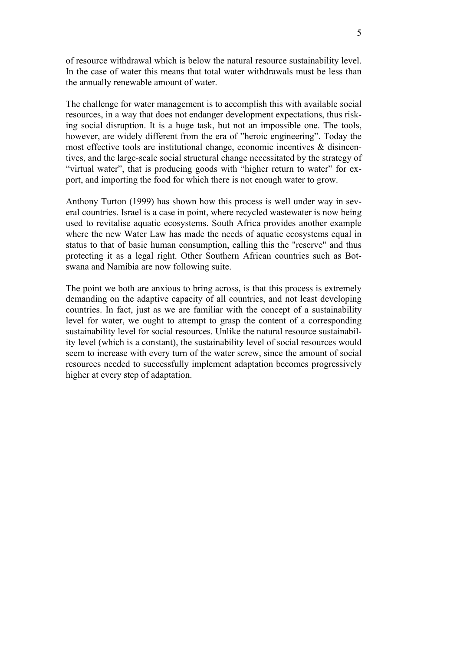of resource withdrawal which is below the natural resource sustainability level. In the case of water this means that total water withdrawals must be less than the annually renewable amount of water.

The challenge for water management is to accomplish this with available social resources, in a way that does not endanger development expectations, thus risking social disruption. It is a huge task, but not an impossible one. The tools, however, are widely different from the era of "heroic engineering". Today the most effective tools are institutional change, economic incentives & disincentives, and the large-scale social structural change necessitated by the strategy of "virtual water", that is producing goods with "higher return to water" for export, and importing the food for which there is not enough water to grow.

Anthony Turton (1999) has shown how this process is well under way in several countries. Israel is a case in point, where recycled wastewater is now being used to revitalise aquatic ecosystems. South Africa provides another example where the new Water Law has made the needs of aquatic ecosystems equal in status to that of basic human consumption, calling this the "reserve" and thus protecting it as a legal right. Other Southern African countries such as Botswana and Namibia are now following suite.

The point we both are anxious to bring across, is that this process is extremely demanding on the adaptive capacity of all countries, and not least developing countries. In fact, just as we are familiar with the concept of a sustainability level for water, we ought to attempt to grasp the content of a corresponding sustainability level for social resources. Unlike the natural resource sustainability level (which is a constant), the sustainability level of social resources would seem to increase with every turn of the water screw, since the amount of social resources needed to successfully implement adaptation becomes progressively higher at every step of adaptation.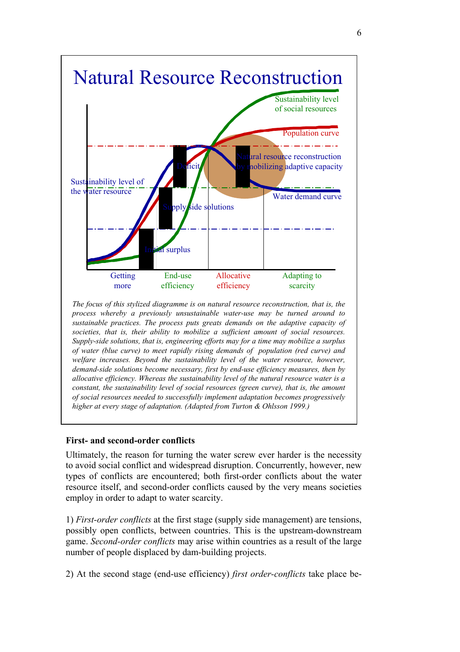

*process whereby a previously unsustainable water-use may be turned around to sustainable practices. The process puts greats demands on the adaptive capacity of societies, that is, their ability to mobilize a sufficient amount of social resources. Supply-side solutions, that is, engineering efforts may for a time may mobilize a surplus of water (blue curve) to meet rapidly rising demands of population (red curve) and welfare increases. Beyond the sustainability level of the water resource, however, demand-side solutions become necessary, first by end-use efficiency measures, then by allocative efficiency. Whereas the sustainability level of the natural resource water is a constant, the sustainability level of social resources (green curve), that is, the amount of social resources needed to successfully implement adaptation becomes progressively higher at every stage of adaptation. (Adapted from Turton & Ohlsson 1999.)*

## **First- and second-order conflicts**

Ultimately, the reason for turning the water screw ever harder is the necessity to avoid social conflict and widespread disruption. Concurrently, however, new types of conflicts are encountered; both first-order conflicts about the water resource itself, and second-order conflicts caused by the very means societies employ in order to adapt to water scarcity.

1) *First-order conflicts* at the first stage (supply side management) are tensions, possibly open conflicts, between countries. This is the upstream-downstream game. *Second-order conflicts* may arise within countries as a result of the large number of people displaced by dam-building projects.

2) At the second stage (end-use efficiency) *first order-conflicts* take place be-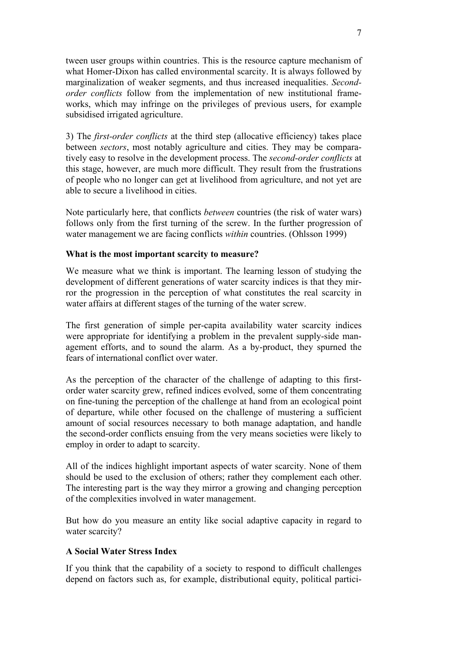tween user groups within countries. This is the resource capture mechanism of what Homer-Dixon has called environmental scarcity. It is always followed by marginalization of weaker segments, and thus increased inequalities. *Secondorder conflicts* follow from the implementation of new institutional frameworks, which may infringe on the privileges of previous users, for example subsidised irrigated agriculture.

3) The *first-order conflicts* at the third step (allocative efficiency) takes place between *sectors*, most notably agriculture and cities. They may be comparatively easy to resolve in the development process. The *second-order conflicts* at this stage, however, are much more difficult. They result from the frustrations of people who no longer can get at livelihood from agriculture, and not yet are able to secure a livelihood in cities.

Note particularly here, that conflicts *between* countries (the risk of water wars) follows only from the first turning of the screw. In the further progression of water management we are facing conflicts *within* countries. (Ohlsson 1999)

#### **What is the most important scarcity to measure?**

We measure what we think is important. The learning lesson of studying the development of different generations of water scarcity indices is that they mirror the progression in the perception of what constitutes the real scarcity in water affairs at different stages of the turning of the water screw.

The first generation of simple per-capita availability water scarcity indices were appropriate for identifying a problem in the prevalent supply-side management efforts, and to sound the alarm. As a by-product, they spurned the fears of international conflict over water.

As the perception of the character of the challenge of adapting to this firstorder water scarcity grew, refined indices evolved, some of them concentrating on fine-tuning the perception of the challenge at hand from an ecological point of departure, while other focused on the challenge of mustering a sufficient amount of social resources necessary to both manage adaptation, and handle the second-order conflicts ensuing from the very means societies were likely to employ in order to adapt to scarcity.

All of the indices highlight important aspects of water scarcity. None of them should be used to the exclusion of others; rather they complement each other. The interesting part is the way they mirror a growing and changing perception of the complexities involved in water management.

But how do you measure an entity like social adaptive capacity in regard to water scarcity?

#### **A Social Water Stress Index**

If you think that the capability of a society to respond to difficult challenges depend on factors such as, for example, distributional equity, political partici-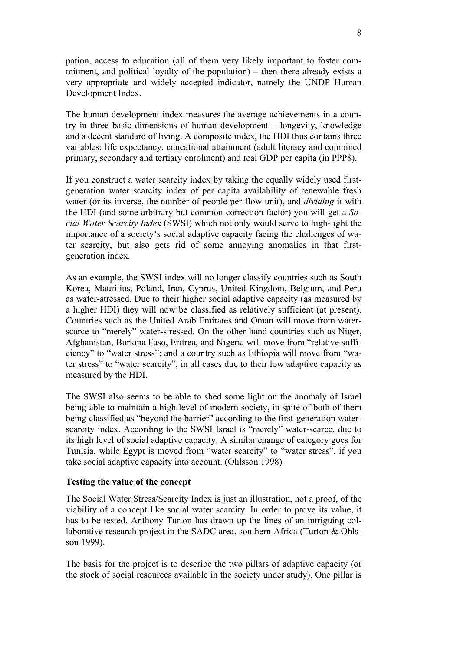pation, access to education (all of them very likely important to foster commitment, and political loyalty of the population) – then there already exists a very appropriate and widely accepted indicator, namely the UNDP Human Development Index.

The human development index measures the average achievements in a country in three basic dimensions of human development – longevity, knowledge and a decent standard of living. A composite index, the HDI thus contains three variables: life expectancy, educational attainment (adult literacy and combined primary, secondary and tertiary enrolment) and real GDP per capita (in PPP\$).

If you construct a water scarcity index by taking the equally widely used firstgeneration water scarcity index of per capita availability of renewable fresh water (or its inverse, the number of people per flow unit), and *dividing* it with the HDI (and some arbitrary but common correction factor) you will get a *Social Water Scarcity Index* (SWSI) which not only would serve to high-light the importance of a society's social adaptive capacity facing the challenges of water scarcity, but also gets rid of some annoying anomalies in that firstgeneration index.

As an example, the SWSI index will no longer classify countries such as South Korea, Mauritius, Poland, Iran, Cyprus, United Kingdom, Belgium, and Peru as water-stressed. Due to their higher social adaptive capacity (as measured by a higher HDI) they will now be classified as relatively sufficient (at present). Countries such as the United Arab Emirates and Oman will move from waterscarce to "merely" water-stressed. On the other hand countries such as Niger, Afghanistan, Burkina Faso, Eritrea, and Nigeria will move from "relative sufficiency" to "water stress"; and a country such as Ethiopia will move from "water stress" to "water scarcity", in all cases due to their low adaptive capacity as measured by the HDI.

The SWSI also seems to be able to shed some light on the anomaly of Israel being able to maintain a high level of modern society, in spite of both of them being classified as "beyond the barrier" according to the first-generation waterscarcity index. According to the SWSI Israel is "merely" water-scarce, due to its high level of social adaptive capacity. A similar change of category goes for Tunisia, while Egypt is moved from "water scarcity" to "water stress", if you take social adaptive capacity into account. (Ohlsson 1998)

#### **Testing the value of the concept**

The Social Water Stress/Scarcity Index is just an illustration, not a proof, of the viability of a concept like social water scarcity. In order to prove its value, it has to be tested. Anthony Turton has drawn up the lines of an intriguing collaborative research project in the SADC area, southern Africa (Turton & Ohlsson 1999).

The basis for the project is to describe the two pillars of adaptive capacity (or the stock of social resources available in the society under study). One pillar is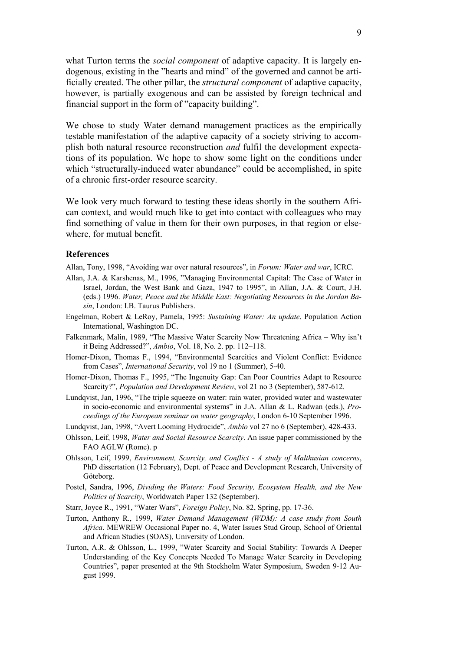what Turton terms the *social component* of adaptive capacity. It is largely endogenous, existing in the "hearts and mind" of the governed and cannot be artificially created. The other pillar, the *structural component* of adaptive capacity, however, is partially exogenous and can be assisted by foreign technical and financial support in the form of "capacity building".

We chose to study Water demand management practices as the empirically testable manifestation of the adaptive capacity of a society striving to accomplish both natural resource reconstruction *and* fulfil the development expectations of its population. We hope to show some light on the conditions under which "structurally-induced water abundance" could be accomplished, in spite of a chronic first-order resource scarcity.

We look very much forward to testing these ideas shortly in the southern African context, and would much like to get into contact with colleagues who may find something of value in them for their own purposes, in that region or elsewhere, for mutual benefit.

#### **References**

Allan, Tony, 1998, "Avoiding war over natural resources", in *Forum: Water and war*, ICRC.

- Allan, J.A. & Karshenas, M., 1996, "Managing Environmental Capital: The Case of Water in Israel, Jordan, the West Bank and Gaza, 1947 to 1995", in Allan, J.A. & Court, J.H. (eds.) 1996. *Water, Peace and the Middle East: Negotiating Resources in the Jordan Basin*, London: I.B. Taurus Publishers.
- Engelman, Robert & LeRoy, Pamela, 1995: *Sustaining Water: An update*. Population Action International, Washington DC.
- Falkenmark, Malin, 1989, "The Massive Water Scarcity Now Threatening Africa Why isn't it Being Addressed?", *Ambio*, Vol. 18, No. 2. pp. 112–118.
- Homer-Dixon, Thomas F., 1994, "Environmental Scarcities and Violent Conflict: Evidence from Cases", *International Security*, vol 19 no 1 (Summer), 5-40.
- Homer-Dixon, Thomas F., 1995, "The Ingenuity Gap: Can Poor Countries Adapt to Resource Scarcity?", *Population and Development Review*, vol 21 no 3 (September), 587-612.
- Lundqvist, Jan, 1996, "The triple squeeze on water: rain water, provided water and wastewater in socio-economic and environmental systems" in J.A. Allan & L. Radwan (eds.), *Proceedings of the European seminar on water geography*, London 6-10 September 1996.
- Lundqvist, Jan, 1998, "Avert Looming Hydrocide", *Ambio* vol 27 no 6 (September), 428-433.
- Ohlsson, Leif, 1998, *Water and Social Resource Scarcity*. An issue paper commissioned by the FAO AGLW (Rome). p
- Ohlsson, Leif, 1999, *Environment, Scarcity, and Conflict A study of Malthusian concerns*, PhD dissertation (12 February), Dept. of Peace and Development Research, University of Göteborg.
- Postel, Sandra, 1996, *Dividing the Waters: Food Security, Ecosystem Health, and the New Politics of Scarcity*, Worldwatch Paper 132 (September).
- Starr, Joyce R., 1991, "Water Wars", *Foreign Policy*, No. 82, Spring, pp. 17-36.
- Turton, Anthony R., 1999, *Water Demand Management (WDM): A case study from South Africa*. MEWREW Occasional Paper no. 4, Water Issues Stud Group, School of Oriental and African Studies (SOAS), University of London.
- Turton, A.R. & Ohlsson, L., 1999, "Water Scarcity and Social Stability: Towards A Deeper Understanding of the Key Concepts Needed To Manage Water Scarcity in Developing Countries", paper presented at the 9th Stockholm Water Symposium, Sweden 9-12 August 1999.